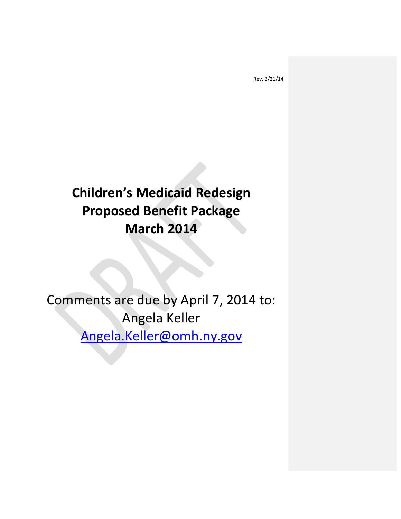# **Children's Medicaid Redesign Proposed Benefit Package March 2014**

Comments are due by April 7, 2014 to: Angela Keller [Angela.Keller@omh.ny.gov](mailto:Angela.Keller@omh.ny.gov)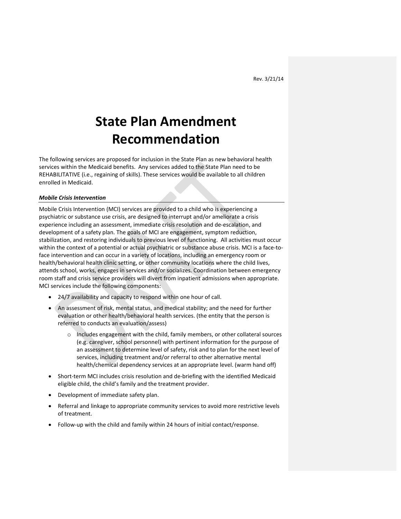# **State Plan Amendment Recommendation**

The following services are proposed for inclusion in the State Plan as new behavioral health services within the Medicaid benefits. Any services added to the State Plan need to be REHABILITATIVE (i.e., regaining of skills). These services would be available to all children enrolled in Medicaid.

#### *Mobile Crisis Intervention*

Mobile Crisis Intervention (MCI) services are provided to a child who is experiencing a psychiatric or substance use crisis, are designed to interrupt and/or ameliorate a crisis experience including an assessment, immediate crisis resolution and de-escalation, and development of a safety plan. The goals of MCI are engagement, symptom reduction, stabilization, and restoring individuals to previous level of functioning. All activities must occur within the context of a potential or actual psychiatric or substance abuse crisis. MCI is a face-toface intervention and can occur in a variety of locations, including an emergency room or health/behavioral health clinic setting, or other community locations where the child lives, attends school, works, engages in services and/or socializes. Coordination between emergency room staff and crisis service providers will divert from inpatient admissions when appropriate. MCI services include the following components:

- 24/7 availability and capacity to respond within one hour of call.
- An assessment of risk, mental status, and medical stability; and the need for further evaluation or other health/behavioral health services. (the entity that the person is referred to conducts an evaluation/assess)
	- o Includes engagement with the child, family members, or other collateral sources (e.g. caregiver, school personnel) with pertinent information for the purpose of an assessment to determine level of safety, risk and to plan for the next level of services, including treatment and/or referral to other alternative mental health/chemical dependency services at an appropriate level. (warm hand off)
- Short-term MCI includes crisis resolution and de-briefing with the identified Medicaid eligible child, the child's family and the treatment provider.
- Development of immediate safety plan.
- Referral and linkage to appropriate community services to avoid more restrictive levels of treatment.
- Follow-up with the child and family within 24 hours of initial contact/response.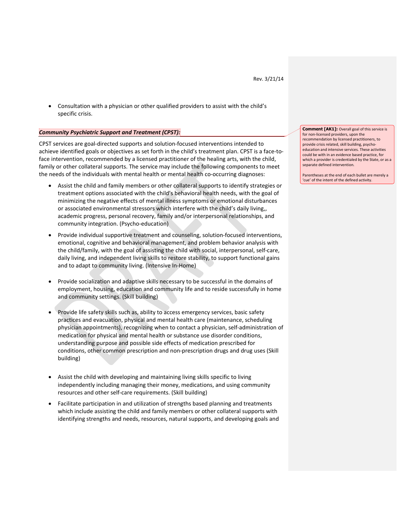Consultation with a physician or other qualified providers to assist with the child's specific crisis.

# *Community Psychiatric Support and Treatment (CPST):*

CPST services are goal-directed supports and solution-focused interventions intended to achieve identified goals or objectives as set forth in the child's treatment plan. CPST is a face-toface intervention, recommended by a licensed practitioner of the healing arts, with the child, family or other collateral supports. The service may include the following components to meet the needs of the individuals with mental health or mental health co-occurring diagnoses:

- Assist the child and family members or other collateral supports to identify strategies or treatment options associated with the child's behavioral health needs, with the goal of minimizing the negative effects of mental illness symptoms or emotional disturbances or associated environmental stressors which interfere with the child's daily living,, academic progress, personal recovery, family and/or interpersonal relationships, and community integration. (Psycho-education)
- Provide individual supportive treatment and counseling, solution-focused interventions, emotional, cognitive and behavioral management, and problem behavior analysis with the child/family, with the goal of assisting the child with social, interpersonal, self-care, daily living, and independent living skills to restore stability, to support functional gains and to adapt to community living. (Intensive In-Home)
- Provide socialization and adaptive skills necessary to be successful in the domains of employment, housing, education and community life and to reside successfully in home and community settings. (Skill building)
- Provide life safety skills such as, ability to access emergency services, basic safety practices and evacuation, physical and mental health care (maintenance, scheduling physician appointments), recognizing when to contact a physician, self-administration of medication for physical and mental health or substance use disorder conditions, understanding purpose and possible side effects of medication prescribed for conditions, other common prescription and non-prescription drugs and drug uses (Skill building)
- Assist the child with developing and maintaining living skills specific to living independently including managing their money, medications, and using community resources and other self-care requirements. (Skill building)
- Facilitate participation in and utilization of strengths based planning and treatments which include assisting the child and family members or other collateral supports with identifying strengths and needs, resources, natural supports, and developing goals and

**Comment [AK1]:** Overall goal of this service is for non-licensed providers, upon the recommendation by licensed practitioners, to provide crisis related, skill building, psychoeducation and intensive services. These activities could be with in an evidence based practice, for which a provider is credentialed by the State, or as a separate defined intervention.

Parentheses at the end of each bullet are merely a 'cue' of the intent of the defined activity.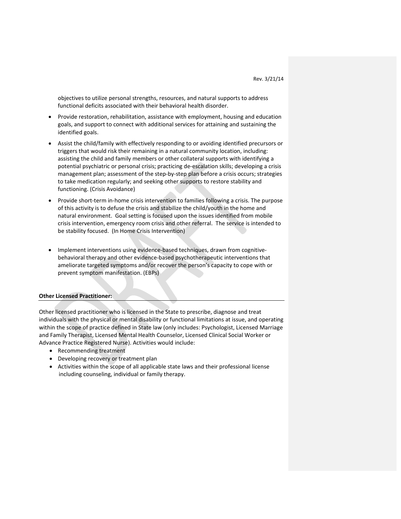objectives to utilize personal strengths, resources, and natural supports to address functional deficits associated with their behavioral health disorder.

- Provide restoration, rehabilitation, assistance with employment, housing and education goals, and support to connect with additional services for attaining and sustaining the identified goals.
- Assist the child/family with effectively responding to or avoiding identified precursors or triggers that would risk their remaining in a natural community location, including: assisting the child and family members or other collateral supports with identifying a potential psychiatric or personal crisis; practicing de-escalation skills; developing a crisis management plan; assessment of the step-by-step plan before a crisis occurs; strategies to take medication regularly; and seeking other supports to restore stability and functioning. (Crisis Avoidance)
- Provide short-term in-home crisis intervention to families following a crisis. The purpose of this activity is to defuse the crisis and stabilize the child/youth in the home and natural environment. Goal setting is focused upon the issues identified from mobile crisis intervention, emergency room crisis and other referral. The service is intended to be stability focused. (In Home Crisis Intervention)
- Implement interventions using evidence-based techniques, drawn from cognitivebehavioral therapy and other evidence-based psychotherapeutic interventions that ameliorate targeted symptoms and/or recover the person's capacity to cope with or prevent symptom manifestation. (EBPs)

#### **Other Licensed Practitioner:**

Other licensed practitioner who is licensed in the State to prescribe, diagnose and treat individuals with the physical or mental disability or functional limitations at issue, and operating within the scope of practice defined in State law (only includes: Psychologist, Licensed Marriage and Family Therapist, Licensed Mental Health Counselor, Licensed Clinical Social Worker or Advance Practice Registered Nurse). Activities would include:

- Recommending treatment
- Developing recovery or treatment plan
- Activities within the scope of all applicable state laws and their professional license including counseling, individual or family therapy.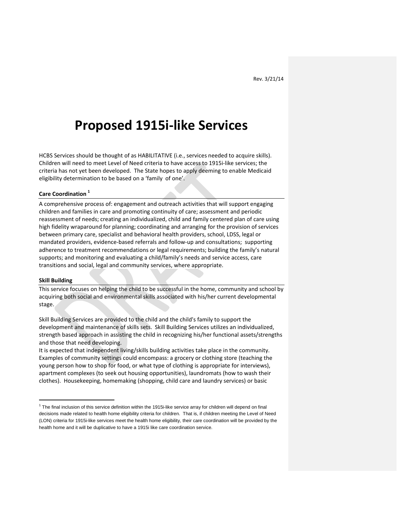# **Proposed 1915i-like Services**

HCBS Services should be thought of as HABILITATIVE (i.e., services needed to acquire skills). Children will need to meet Level of Need criteria to have access to 1915i-like services; the criteria has not yet been developed. The State hopes to apply deeming to enable Medicaid eligibility determination to be based on a 'family of one'.

### **Care Coordination <sup>1</sup>**

A comprehensive process of: engagement and outreach activities that will support engaging children and families in care and promoting continuity of care; assessment and periodic reassessment of needs; creating an individualized, child and family centered plan of care using high fidelity wraparound for planning; coordinating and arranging for the provision of services between primary care, specialist and behavioral health providers, school, LDSS, legal or mandated providers, evidence-based referrals and follow-up and consultations; supporting adherence to treatment recommendations or legal requirements; building the family's natural supports; and monitoring and evaluating a child/family's needs and service access, care transitions and social, legal and community services, where appropriate.

#### **Skill Building**

 $\overline{a}$ 

This service focuses on helping the child to be successful in the home, community and school by acquiring both social and environmental skills associated with his/her current developmental stage.

Skill Building Services are provided to the child and the child's family to support the development and maintenance of skills sets. Skill Building Services utilizes an individualized, strength based approach in assisting the child in recognizing his/her functional assets/strengths and those that need developing.

It is expected that independent living/skills building activities take place in the community. Examples of community settings could encompass: a grocery or clothing store (teaching the young person how to shop for food, or what type of clothing is appropriate for interviews), apartment complexes (to seek out housing opportunities), laundromats (how to wash their clothes). Housekeeping, homemaking (shopping, child care and laundry services) or basic

 $1$  The final inclusion of this service definition within the 1915i-like service array for children will depend on final decisions made related to health home eligibility criteria for children. That is, if children meeting the Level of Need (LON) criteria for 1915i-like services meet the health home eligibility, their care coordination will be provided by the health home and it will be duplicative to have a 1915i like care coordination service.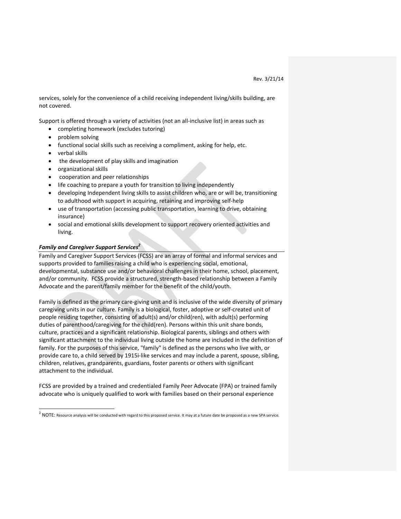services, solely for the convenience of a child receiving independent living/skills building, are not covered.

Support is offered through a variety of activities (not an all-inclusive list) in areas such as

- completing homework (excludes tutoring)
- problem solving
- functional social skills such as receiving a compliment, asking for help, etc.
- verbal skills
- the development of play skills and imagination
- organizational skills
- cooperation and peer relationships
- life coaching to prepare a youth for transition to living independently
- developing Independent living skills to assist children who, are or will be, transitioning to adulthood with support in acquiring, retaining and improving self-help
- use of transportation (accessing public transportation, learning to drive, obtaining insurance)
- social and emotional skills development to support recovery oriented activities and living.

# *Family and Caregiver Support Services<sup>2</sup>*

Family and Caregiver Support Services (FCSS) are an array of formal and informal services and supports provided to families raising a child who is experiencing social, emotional, developmental, substance use and/or behavioral challenges in their home, school, placement, and/or community. FCSS provide a structured, strength-based relationship between a Family Advocate and the parent/family member for the benefit of the child/youth.

Family is defined as the primary care-giving unit and is inclusive of the wide diversity of primary caregiving units in our culture. Family is a biological, foster, adoptive or self-created unit of people residing together, consisting of adult(s) and/or child(ren), with adult(s) performing duties of parenthood/caregiving for the child(ren). Persons within this unit share bonds, culture, practices and a significant relationship. Biological parents, siblings and others with significant attachment to the individual living outside the home are included in the definition of family. For the purposes of this service, "family" is defined as the persons who live with, or provide care to, a child served by 1915i-like services and may include a parent, spouse, sibling, children, relatives, grandparents, guardians, foster parents or others with significant attachment to the individual.

FCSS are provided by a trained and credentialed Family Peer Advocate (FPA) or trained family advocate who is uniquely qualified to work with families based on their personal experience

 2 NOTE: Resource analysis will be conducted with regard to this proposed service. It may at a future date be proposed as a new SPA service.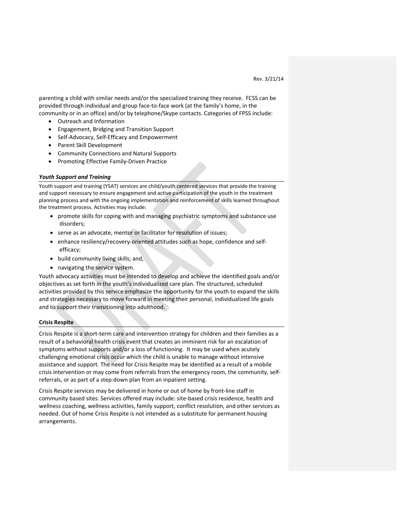parenting a child with similar needs and/or the specialized training they receive. FCSS can be provided through individual and group face-to-face work (at the family's home, in the community or in an office) and/or by telephone/Skype contacts. Categories of FPSS include:

- Outreach and Information
- Engagement, Bridging and Transition Support
- Self-Advocacy, Self-Efficacy and Empowerment
- Parent Skill Development
- Community Connections and Natural Supports
- Promoting Effective Family-Driven Practice

# *Youth Support and Training*

Youth support and training (YSAT) services are child/youth centered services that provide the training and support necessary to ensure engagement and active participation of the youth in the treatment planning process and with the ongoing implementation and reinforcement of skills learned throughout the treatment process. Activities may include:

- promote skills for coping with and managing psychiatric symptoms and substance use disorders;
- serve as an advocate, mentor or facilitator for resolution of issues;
- enhance resiliency/recovery-oriented attitudes such as hope, confidence and selfefficacy;
- build community living skills; and,
- navigating the service system.

Youth advocacy activities must be intended to develop and achieve the identified goals and/or objectives as set forth in the youth's individualized care plan. The structured, scheduled activities provided by this service emphasize the opportunity for the youth to expand the skills and strategies necessary to move forward in meeting their personal, individualized life goals and to support their transitioning into adulthood.

# **Crisis Respite**

Crisis Respite is a short-term care and intervention strategy for children and their families as a result of a behavioral health crisis event that creates an imminent risk for an escalation of symptoms without supports and/or a loss of functioning. It may be used when acutely challenging emotional crisis occur which the child is unable to manage without intensive assistance and support. The need for Crisis Respite may be identified as a result of a mobile crisis intervention or may come from referrals from the emergency room, the community, selfreferrals, or as part of a step-down plan from an inpatient setting.

Crisis Respite services may be delivered in home or out of home by front-line staff in community based sites. Services offered may include: site-based crisis residence, health and wellness coaching, wellness activities, family support, conflict resolution, and other services as needed. Out of home Crisis Respite is not intended as a substitute for permanent housing arrangements.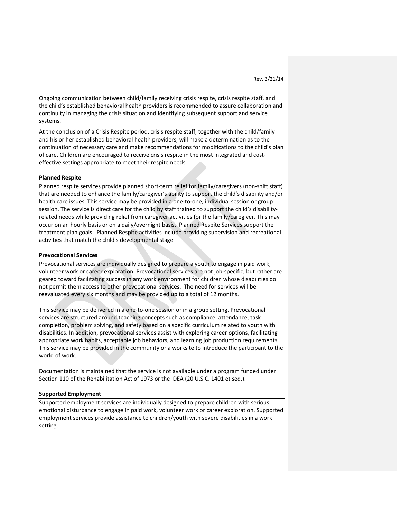Ongoing communication between child/family receiving crisis respite, crisis respite staff, and the child's established behavioral health providers is recommended to assure collaboration and continuity in managing the crisis situation and identifying subsequent support and service systems.

At the conclusion of a Crisis Respite period, crisis respite staff, together with the child/family and his or her established behavioral health providers, will make a determination as to the continuation of necessary care and make recommendations for modifications to the child's plan of care. Children are encouraged to receive crisis respite in the most integrated and costeffective settings appropriate to meet their respite needs.

#### **Planned Respite**

Planned respite services provide planned short-term relief for family/caregivers (non-shift staff) that are needed to enhance the family/caregiver's ability to support the child's disability and/or health care issues. This service may be provided in a one-to-one, individual session or group session. The service is direct care for the child by staff trained to support the child's disabilityrelated needs while providing relief from caregiver activities for the family/caregiver. This may occur on an hourly basis or on a daily/overnight basis. Planned Respite Services support the treatment plan goals. Planned Respite activities include providing supervision and recreational activities that match the child's developmental stage

#### **Prevocational Services**

Prevocational services are individually designed to prepare a youth to engage in paid work, volunteer work or career exploration. Prevocational services are not job-specific, but rather are geared toward facilitating success in any work environment for children whose disabilities do not permit them access to other prevocational services. The need for services will be reevaluated every six months and may be provided up to a total of 12 months.

This service may be delivered in a one-to-one session or in a group setting. Prevocational services are structured around teaching concepts such as compliance, attendance, task completion, problem solving, and safety based on a specific curriculum related to youth with disabilities. In addition, prevocational services assist with exploring career options, facilitating appropriate work habits, acceptable job behaviors, and learning job production requirements. This service may be provided in the community or a worksite to introduce the participant to the world of work.

Documentation is maintained that the service is not available under a program funded under Section 110 of the Rehabilitation Act of 1973 or the IDEA (20 U.S.C. 1401 et seq.).

#### **Supported Employment**

Supported employment services are individually designed to prepare children with serious emotional disturbance to engage in paid work, volunteer work or career exploration. Supported employment services provide assistance to children/youth with severe disabilities in a work setting.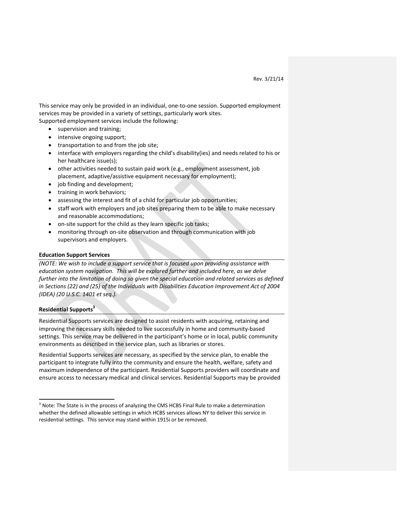This service may only be provided in an individual, one-to-one session. Supported employment services may be provided in a variety of settings, particularly work sites. Supported employment services include the following:

- supervision and training;
- intensive ongoing support;
- transportation to and from the job site;
- interface with employers regarding the child's disability(ies) and needs related to his or her healthcare issue(s);
- other activities needed to sustain paid work (e.g., employment assessment, job placement, adaptive/assistive equipment necessary for employment);
- job finding and development;
- training in work behaviors;
- assessing the interest and fit of a child for particular job opportunities;
- staff work with employers and job sites preparing them to be able to make necessary and reasonable accommodations;
- on-site support for the child as they learn specific job tasks;
- monitoring through on-site observation and through communication with job supervisors and employers.

### **Education Support Services**

*(NOTE: We wish to include a support service that is focused upon providing assistance with education system navigation. This will be explored further and included here, as we delve further into the limitation of doing so given the special education and related services as defined in Sections (22) and (25) of the Individuals with Disabilities Education Improvement Act of 2004 (IDEA) (20 U.S.C. 1401 et seq.).*

# **Residential Supports<sup>3</sup>**

 $\overline{a}$ 

Residential Supports services are designed to assist residents with acquiring, retaining and improving the necessary skills needed to live successfully in home and community-based settings. This service may be delivered in the participant's home or in local, public community environments as described in the service plan, such as libraries or stores.

Residential Supports services are necessary, as specified by the service plan, to enable the participant to integrate fully into the community and ensure the health, welfare, safety and maximum independence of the participant. Residential Supports providers will coordinate and ensure access to necessary medical and clinical services. Residential Supports may be provided

<sup>&</sup>lt;sup>3</sup> Note: The State is in the process of analyzing the CMS HCBS Final Rule to make a determination whether the defined allowable settings in which HCBS services allows NY to deliver this service in residential settings. This service may stand within 1915i or be removed.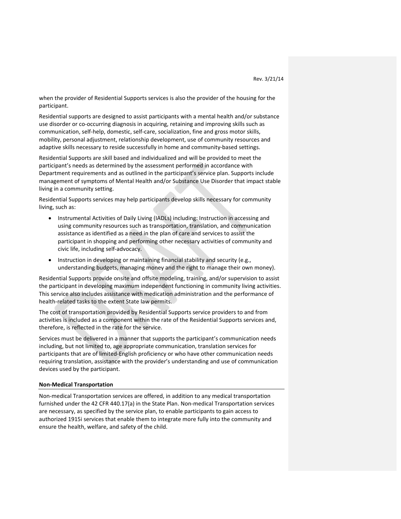when the provider of Residential Supports services is also the provider of the housing for the participant.

Residential supports are designed to assist participants with a mental health and/or substance use disorder or co-occurring diagnosis in acquiring, retaining and improving skills such as communication, self-help, domestic, self-care, socialization, fine and gross motor skills, mobility, personal adjustment, relationship development, use of community resources and adaptive skills necessary to reside successfully in home and community-based settings.

Residential Supports are skill based and individualized and will be provided to meet the participant's needs as determined by the assessment performed in accordance with Department requirements and as outlined in the participant's service plan. Supports include management of symptoms of Mental Health and/or Substance Use Disorder that impact stable living in a community setting.

Residential Supports services may help participants develop skills necessary for community living, such as:

- Instrumental Activities of Daily Living (IADLs) including: Instruction in accessing and using community resources such as transportation, translation, and communication assistance as identified as a need in the plan of care and services to assist the participant in shopping and performing other necessary activities of community and civic life, including self-advocacy.
- Instruction in developing or maintaining financial stability and security (e.g., understanding budgets, managing money and the right to manage their own money).

Residential Supports provide onsite and offsite modeling, training, and/or supervision to assist the participant in developing maximum independent functioning in community living activities. This service also includes assistance with medication administration and the performance of health-related tasks to the extent State law permits.

The cost of transportation provided by Residential Supports service providers to and from activities is included as a component within the rate of the Residential Supports services and, therefore, is reflected in the rate for the service.

Services must be delivered in a manner that supports the participant's communication needs including, but not limited to, age appropriate communication, translation services for participants that are of limited-English proficiency or who have other communication needs requiring translation, assistance with the provider's understanding and use of communication devices used by the participant.

#### **Non-Medical Transportation**

Non-medical Transportation services are offered, in addition to any medical transportation furnished under the 42 CFR 440.17(a) in the State Plan. Non-medical Transportation services are necessary, as specified by the service plan, to enable participants to gain access to authorized 1915i services that enable them to integrate more fully into the community and ensure the health, welfare, and safety of the child.